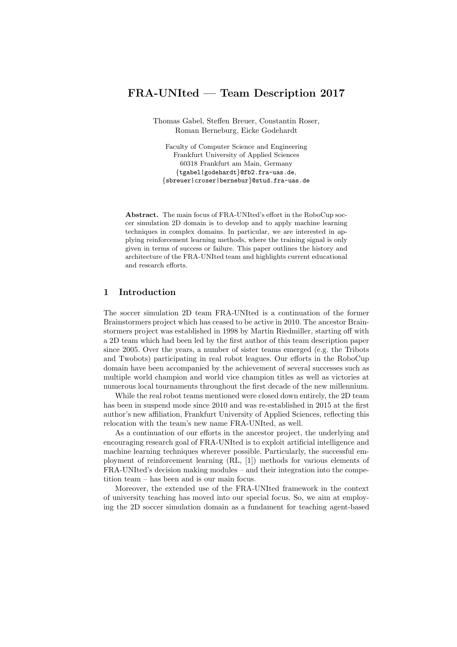# FRA-UNIted — Team Description 2017

Thomas Gabel, Steffen Breuer, Constantin Roser, Roman Berneburg, Eicke Godehardt

Faculty of Computer Science and Engineering Frankfurt University of Applied Sciences 60318 Frankfurt am Main, Germany {tgabel|godehardt}@fb2.fra-uas.de, {sbreuer|croser|bernebur}@stud.fra-uas.de

Abstract. The main focus of FRA-UNIted's effort in the RoboCup soccer simulation 2D domain is to develop and to apply machine learning techniques in complex domains. In particular, we are interested in applying reinforcement learning methods, where the training signal is only given in terms of success or failure. This paper outlines the history and architecture of the FRA-UNIted team and highlights current educational and research efforts.

## 1 Introduction

The soccer simulation 2D team FRA-UNIted is a continuation of the former Brainstormers project which has ceased to be active in 2010. The ancestor Brainstormers project was established in 1998 by Martin Riedmiller, starting off with a 2D team which had been led by the first author of this team description paper since 2005. Over the years, a number of sister teams emerged (e.g. the Tribots and Twobots) participating in real robot leagues. Our efforts in the RoboCup domain have been accompanied by the achievement of several successes such as multiple world champion and world vice champion titles as well as victories at numerous local tournaments throughout the first decade of the new millennium.

While the real robot teams mentioned were closed down entirely, the 2D team has been in suspend mode since 2010 and was re-established in 2015 at the first author's new affiliation, Frankfurt University of Applied Sciences, reflecting this relocation with the team's new name FRA-UNIted, as well.

As a continuation of our efforts in the ancestor project, the underlying and encouraging research goal of FRA-UNIted is to exploit artificial intelligence and machine learning techniques wherever possible. Particularly, the successful employment of reinforcement learning (RL, [1]) methods for various elements of FRA-UNIted's decision making modules – and their integration into the competition team – has been and is our main focus.

Moreover, the extended use of the FRA-UNIted framework in the context of university teaching has moved into our special focus. So, we aim at employing the 2D soccer simulation domain as a fundament for teaching agent-based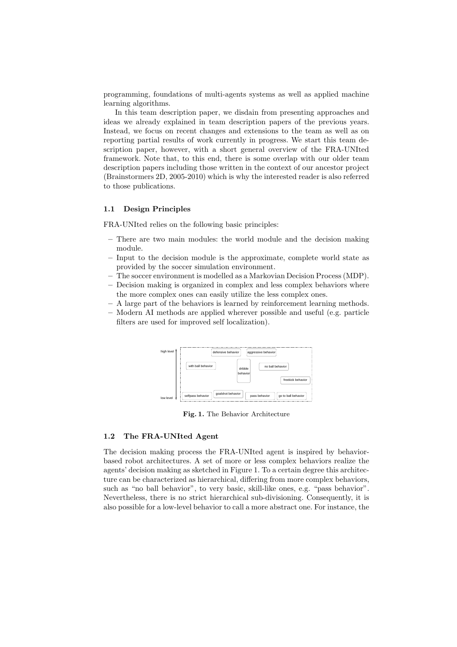programming, foundations of multi-agents systems as well as applied machine learning algorithms.

In this team description paper, we disdain from presenting approaches and ideas we already explained in team description papers of the previous years. Instead, we focus on recent changes and extensions to the team as well as on reporting partial results of work currently in progress. We start this team description paper, however, with a short general overview of the FRA-UNIted framework. Note that, to this end, there is some overlap with our older team description papers including those written in the context of our ancestor project (Brainstormers 2D, 2005-2010) which is why the interested reader is also referred to those publications.

#### 1.1 Design Principles

FRA-UNIted relies on the following basic principles:

- There are two main modules: the world module and the decision making module.
- Input to the decision module is the approximate, complete world state as provided by the soccer simulation environment.
- The soccer environment is modelled as a Markovian Decision Process (MDP).
- Decision making is organized in complex and less complex behaviors where the more complex ones can easily utilize the less complex ones.
- A large part of the behaviors is learned by reinforcement learning methods.
- Modern AI methods are applied wherever possible and useful (e.g. particle filters are used for improved self localization).



Fig. 1. The Behavior Architecture

#### 1.2 The FRA-UNIted Agent

The decision making process the FRA-UNIted agent is inspired by behaviorbased robot architectures. A set of more or less complex behaviors realize the agents' decision making as sketched in Figure 1. To a certain degree this architecture can be characterized as hierarchical, differing from more complex behaviors, such as "no ball behavior", to very basic, skill-like ones, e.g. "pass behavior". Nevertheless, there is no strict hierarchical sub-divisioning. Consequently, it is also possible for a low-level behavior to call a more abstract one. For instance, the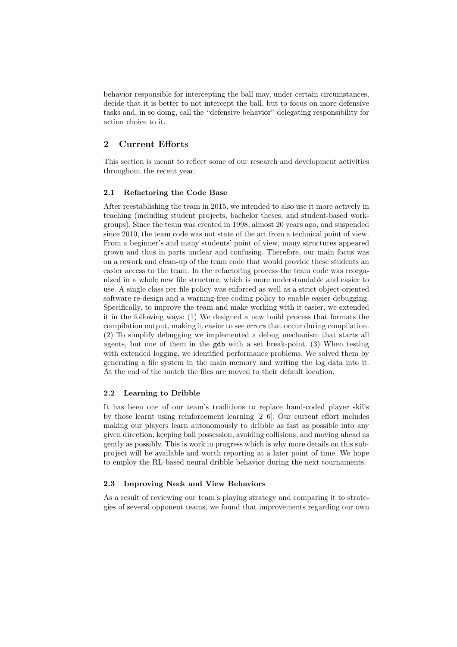behavior responsible for intercepting the ball may, under certain circumstances, decide that it is better to not intercept the ball, but to focus on more defensive tasks and, in so doing, call the "defensive behavior" delegating responsibility for action choice to it.

## 2 Current Efforts

This section is meant to reflect some of our research and development activities throughout the recent year.

### 2.1 Refactoring the Code Base

After reestablishing the team in 2015, we intended to also use it more actively in teaching (including student projects, bachelor theses, and student-based workgroups). Since the team was created in 1998, almost 20 years ago, and suspended since 2010, the team code was not state of the art from a technical point of view. From a beginner's and many students' point of view, many structures appeared grown and thus in parts unclear and confusing. Therefore, our main focus was on a rework and clean-up of the team code that would provide these students an easier access to the team. In the refactoring process the team code was reorganized in a whole new file structure, which is more understandable and easier to use. A single class per file policy was enforced as well as a strict object-oriented software re-design and a warning-free coding policy to enable easier debugging. Specifically, to improve the team and make working with it easier, we extended it in the following ways: (1) We designed a new build process that formats the compilation output, making it easier to see errors that occur during compilation. (2) To simplify debugging we implemented a debug mechanism that starts all agents, but one of them in the gdb with a set break-point. (3) When testing with extended logging, we identified performance problems. We solved them by generating a file system in the main memory and writing the log data into it. At the end of the match the files are moved to their default location.

### 2.2 Learning to Dribble

It has been one of our team's traditions to replace hand-coded player skills by those learnt using reinforcement learning [2–6]. Our current effort includes making our players learn autonomously to dribble as fast as possible into any given direction, keeping ball possession, avoiding collisions, and moving ahead as gently as possibly. This is work in progress which is why more details on this subproject will be available and worth reporting at a later point of time. We hope to employ the RL-based neural dribble behavior during the next tournaments.

#### 2.3 Improving Neck and View Behaviors

As a result of reviewing our team's playing strategy and comparing it to strategies of several opponent teams, we found that improvements regarding our own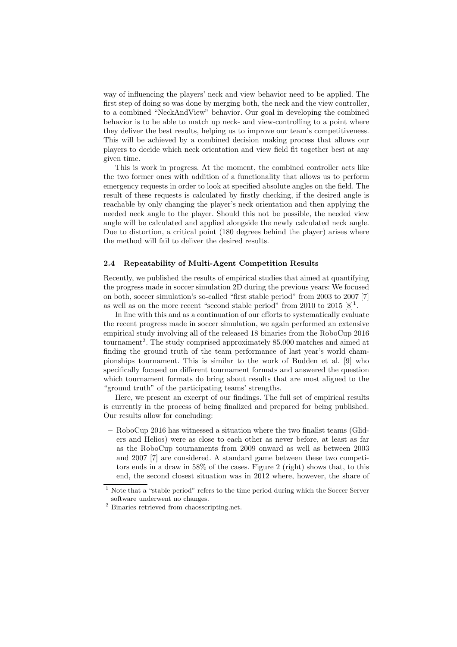way of influencing the players' neck and view behavior need to be applied. The first step of doing so was done by merging both, the neck and the view controller, to a combined "NeckAndView" behavior. Our goal in developing the combined behavior is to be able to match up neck- and view-controlling to a point where they deliver the best results, helping us to improve our team's competitiveness. This will be achieved by a combined decision making process that allows our players to decide which neck orientation and view field fit together best at any given time.

This is work in progress. At the moment, the combined controller acts like the two former ones with addition of a functionality that allows us to perform emergency requests in order to look at specified absolute angles on the field. The result of these requests is calculated by firstly checking, if the desired angle is reachable by only changing the player's neck orientation and then applying the needed neck angle to the player. Should this not be possible, the needed view angle will be calculated and applied alongside the newly calculated neck angle. Due to distortion, a critical point (180 degrees behind the player) arises where the method will fail to deliver the desired results.

#### 2.4 Repeatability of Multi-Agent Competition Results

Recently, we published the results of empirical studies that aimed at quantifying the progress made in soccer simulation 2D during the previous years: We focused on both, soccer simulation's so-called "first stable period" from 2003 to 2007 [7] as well as on the more recent "second stable period" from 2010 to  $2015 [8]^1$ .

In line with this and as a continuation of our efforts to systematically evaluate the recent progress made in soccer simulation, we again performed an extensive empirical study involving all of the released 18 binaries from the RoboCup 2016 tournament<sup>2</sup>. The study comprised approximately 85.000 matches and aimed at finding the ground truth of the team performance of last year's world championships tournament. This is similar to the work of Budden et al. [9] who specifically focused on different tournament formats and answered the question which tournament formats do bring about results that are most aligned to the "ground truth" of the participating teams' strengths.

Here, we present an excerpt of our findings. The full set of empirical results is currently in the process of being finalized and prepared for being published. Our results allow for concluding:

– RoboCup 2016 has witnessed a situation where the two finalist teams (Gliders and Helios) were as close to each other as never before, at least as far as the RoboCup tournaments from 2009 onward as well as between 2003 and 2007 [7] are considered. A standard game between these two competitors ends in a draw in 58% of the cases. Figure 2 (right) shows that, to this end, the second closest situation was in 2012 where, however, the share of

<sup>&</sup>lt;sup>1</sup> Note that a "stable period" refers to the time period during which the Soccer Server software underwent no changes.

<sup>2</sup> Binaries retrieved from chaosscripting.net.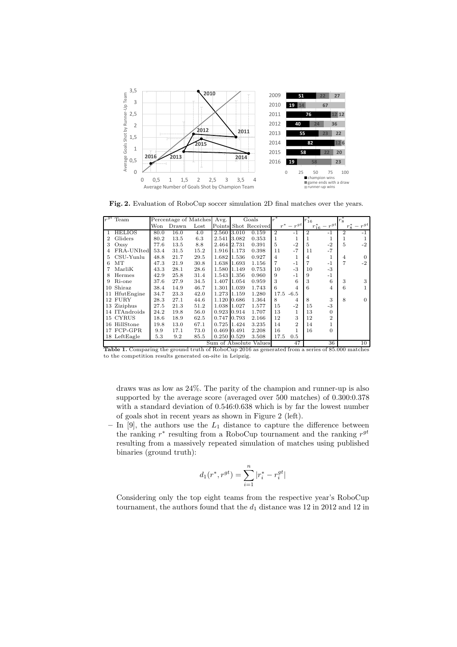

Fig. 2. Evaluation of RoboCup soccer simulation 2D final matches over the years.

|                                                  | $r^{gt}$ Team | Percentage of Matches |       | Avg.             | Goals       |       | $r^*$                |                | $r^*_{16}$     |                | $r_{8}^*$             |                |                |
|--------------------------------------------------|---------------|-----------------------|-------|------------------|-------------|-------|----------------------|----------------|----------------|----------------|-----------------------|----------------|----------------|
|                                                  |               | Won                   | Drawn | $_{\text{Lost}}$ |             |       | Points Shot Received | $r^*$          | $-r^{gt}$      |                | $r_{16}^{*} - r^{gt}$ | $r_8^*$        | $-r^{gt}$      |
|                                                  | <b>HELIOS</b> | 80.0                  | 16.0  | 4.0              | 2.560 3.010 |       | 0.159                | $\overline{2}$ | $-1$           | $\overline{2}$ | $-1$                  | $\overline{2}$ | -1             |
| 2                                                | Gliders       | 80.2                  | 13.5  | 6.3              | 2.541 3.082 |       | 0.353                | 1              | 1              | 1              |                       | 1              |                |
| 3                                                | Oxsv          | 77.6                  | 13.5  | 8.8              | 2.464 2.731 |       | 0.391                | 5              | $-2$           | 5              | $-2$                  | 5              | -2             |
|                                                  | FRA-UNIted    | 53.4                  | 31.5  | 15.2             | 1.916 1.173 |       | 0.398                | 11             | $-7$           | 11             | $-7$                  |                |                |
| 5                                                | $CSU-Yunlu$   | 48.8                  | 21.7  | 29.5             | 1.682       | 1.536 | 0.927                | 4              | 1              | 4              | 1                     | 4              | $\Omega$       |
| 6                                                | MТ            | 47.3                  | 21.9  | 30.8             | 1.638 1.693 |       | 1.156                | 7              | $-1$           | 7              | $-1$                  | 7              | $-2$           |
|                                                  | MarliK        | 43.3                  | 28.1  | 28.6             | 1.580 1.149 |       | 0.753                | 10             | $-3$           | 10             | $-3$                  |                |                |
| 8                                                | Hermes        | 42.9                  | 25.8  | 31.4             | 1.543 1.356 |       | 0.960                | 9              | $-1$           | 9              | $-1$                  |                |                |
| 9                                                | Ri-one        | 37.6                  | 27.9  | 34.5             | 1.407 1.054 |       | 0.959                | 3              | 6              | 3              | 6                     | 3              | 3              |
| 10                                               | Shiraz        | 38.4                  | 14.9  | 46.7             | 1.301 1.039 |       | 1.743                | 6              | 4              | 6              | $\overline{4}$        | 6              | 1              |
| 11                                               | HfutEngine    | 34.7                  | 23.3  | 42.0             | 1.273 1.159 |       | 1.280                | 17.5           | $-6.5$         |                |                       |                |                |
|                                                  | 12 FURY       | 28.3                  | 27.1  | 44.6             | 1.120 0.686 |       | 1.364                | 8              | 4              | 8              | 3                     | 8              | $\overline{0}$ |
|                                                  | 13 Ziziphus   | 27.5                  | 21.3  | 51.2             | 1.038 1.027 |       | 1.577                | 15             | $-2$           | 15             | $-3$                  |                |                |
|                                                  | 14 ITAndroids | 24.2                  | 19.8  | 56.0             | 0.923 0.914 |       | 1.707                | 13             | 1              | 13             | $\Omega$              |                |                |
|                                                  | 15 CYRUS      | 18.6                  | 18.9  | 62.5             | 0.747       | 0.793 | 2.166                | 12             | 3              | 12             | $\overline{2}$        |                |                |
| 16                                               | HillStone     | 19.8                  | 13.0  | 67.1             | 0.725 1.424 |       | 3.235                | 14             | $\overline{2}$ | 14             | 1                     |                |                |
|                                                  | 17 FCP-GPR    | 9.9                   | 17.1  | 73.0             | 0.469 0.491 |       | 2.208                | 16             | $\mathbf{1}$   | 16             | $\theta$              |                |                |
|                                                  | 18 LeftEagle  | 5.3                   | 9.2   | 85.5             | 0.250 0.529 |       | 3.508                | 17.5           | 0.5            |                |                       |                |                |
| $C_{\text{max}}$ of Abordiate $V_{\text{other}}$ |               |                       |       |                  |             |       |                      | 47             |                | 9C.            |                       | $10^{-}$       |                |

Sum of Absolute Values 47 36 10<br>
Table 1. Comparing the ground truth of RoboCup 2016 as generated from a series of 85.000 matches to the competition results generated on-site in Leipzig.

draws was as low as 24%. The parity of the champion and runner-up is also supported by the average score (averaged over 500 matches) of 0.300:0.378 with a standard deviation of 0.546:0.638 which is by far the lowest number of goals shot in recent years as shown in Figure 2 (left).

– In [9], the authors use the  $L_1$  distance to capture the difference between the ranking  $r^*$  resulting from a RoboCup tournament and the ranking  $r^{gt}$ resulting from a massively repeated simulation of matches using published binaries (ground truth):

$$
d_1(r^*, r^{gt}) = \sum_{i=1}^n |r_i^* - r_i^{gt}|
$$

Considering only the top eight teams from the respective year's RoboCup tournament, the authors found that the  $d_1$  distance was 12 in 2012 and 12 in